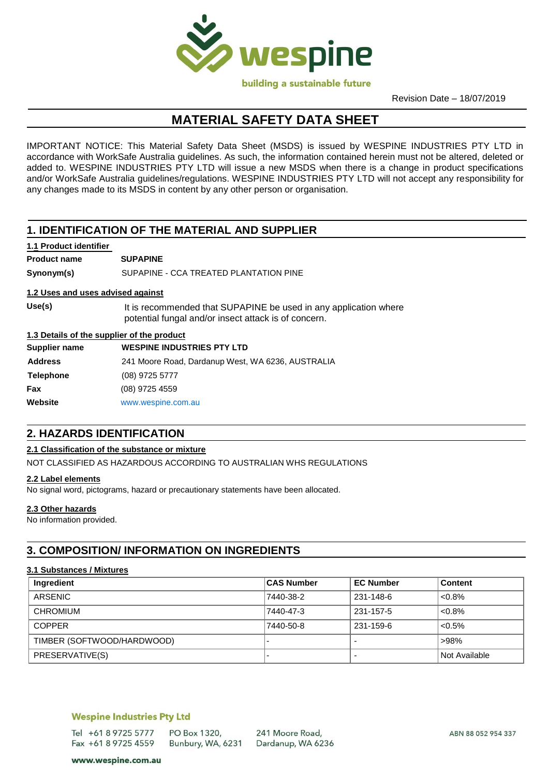

Revision Date – 18/07/2019

# **MATERIAL SAFETY DATA SHEET**

IMPORTANT NOTICE: This Material Safety Data Sheet (MSDS) is issued by WESPINE INDUSTRIES PTY LTD in accordance with WorkSafe Australia guidelines. As such, the information contained herein must not be altered, deleted or added to. WESPINE INDUSTRIES PTY LTD will issue a new MSDS when there is a change in product specifications and/or WorkSafe Australia guidelines/regulations. WESPINE INDUSTRIES PTY LTD will not accept any responsibility for any changes made to its MSDS in content by any other person or organisation.

# **1. IDENTIFICATION OF THE MATERIAL AND SUPPLIER**

#### **1.1 Product identifier**

**Product name SUPAPINE Synonym(s)** SUPAPINE - CCA TREATED PLANTATION PINE

#### **1.2 Uses and uses advised against**

**Use(s)**  It is recommended that SUPAPINE be used in any application where potential fungal and/or insect attack is of concern.

#### **1.3 Details of the supplier of the product**

| Supplier name    | <b>WESPINE INDUSTRIES PTY LTD</b>                 |
|------------------|---------------------------------------------------|
| <b>Address</b>   | 241 Moore Road, Dardanup West, WA 6236, AUSTRALIA |
| <b>Telephone</b> | (08) 9725 5777                                    |
| Fax              | (08) 9725 4559                                    |
| Website          | www.wespine.com.au                                |
|                  |                                                   |

# **2. HAZARDS IDENTIFICATION**

#### **2.1 Classification of the substance or mixture**

NOT CLASSIFIED AS HAZARDOUS ACCORDING TO AUSTRALIAN WHS REGULATIONS

#### **2.2 Label elements**

No signal word, pictograms, hazard or precautionary statements have been allocated.

#### **2.3 Other hazards**

No information provided.

# **3. COMPOSITION/ INFORMATION ON INGREDIENTS**

#### **3.1 Substances / Mixtures**

| Ingredient                 | <b>CAS Number</b> | <b>EC Number</b> | <b>Content</b> |
|----------------------------|-------------------|------------------|----------------|
| ARSENIC                    | 7440-38-2         | 231-148-6        | < 0.8%         |
| <b>CHROMIUM</b>            | 7440-47-3         | 231-157-5        | < 0.8%         |
| <b>COPPER</b>              | 7440-50-8         | 231-159-6        | $< 0.5\%$      |
| TIMBER (SOFTWOOD/HARDWOOD) |                   |                  | >98%           |
| PRESERVATIVE(S)            |                   |                  | Not Available  |

#### **Wespine Industries Pty Ltd**

Tel +61 8 9725 5777 PO Box 1320. Fax +61 8 9725 4559 Bunbury, WA, 6231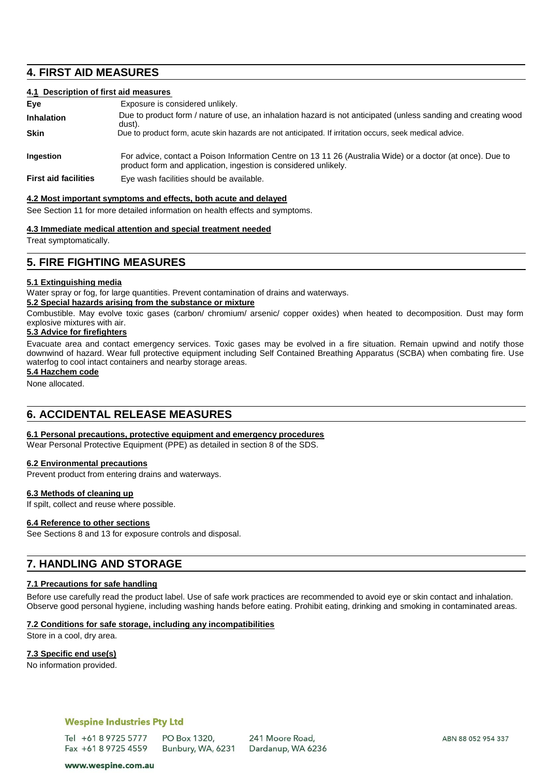## **4. FIRST AID MEASURES**

#### **4.1 Description of first aid measures**

| Eye                         | Exposure is considered unlikely.                                                                                                                                              |
|-----------------------------|-------------------------------------------------------------------------------------------------------------------------------------------------------------------------------|
| <b>Inhalation</b>           | Due to product form / nature of use, an inhalation hazard is not anticipated (unless sanding and creating wood<br>dust).                                                      |
| <b>Skin</b>                 | Due to product form, acute skin hazards are not anticipated. If irritation occurs, seek medical advice.                                                                       |
| <b>Ingestion</b>            | For advice, contact a Poison Information Centre on 13 11 26 (Australia Wide) or a doctor (at once). Due to<br>product form and application, ingestion is considered unlikely. |
| <b>First aid facilities</b> | Eye wash facilities should be available.                                                                                                                                      |

#### **4.2 Most important symptoms and effects, both acute and delayed**

See Section 11 for more detailed information on health effects and symptoms.

#### **4.3 Immediate medical attention and special treatment needed**

Treat symptomatically.

### **5. FIRE FIGHTING MEASURES**

#### **5.1 Extinguishing media**

Water spray or fog, for large quantities. Prevent contamination of drains and waterways.

#### **5.2 Special hazards arising from the substance or mixture**

Combustible. May evolve toxic gases (carbon/ chromium/ arsenic/ copper oxides) when heated to decomposition. Dust may form explosive mixtures with air.

### **5.3 Advice for firefighters**

Evacuate area and contact emergency services. Toxic gases may be evolved in a fire situation. Remain upwind and notify those downwind of hazard. Wear full protective equipment including Self Contained Breathing Apparatus (SCBA) when combating fire. Use waterfog to cool intact containers and nearby storage areas.

**5.4 Hazchem code**

None allocated.

# **6. ACCIDENTAL RELEASE MEASURES**

#### **6.1 Personal precautions, protective equipment and emergency procedures**

Wear Personal Protective Equipment (PPE) as detailed in section 8 of the SDS.

#### **6.2 Environmental precautions**

Prevent product from entering drains and waterways.

#### **6.3 Methods of cleaning up**

If spilt, collect and reuse where possible.

#### **6.4 Reference to other sections**

See Sections 8 and 13 for exposure controls and disposal.

# **7. HANDLING AND STORAGE**

#### **7.1 Precautions for safe handling**

Before use carefully read the product label. Use of safe work practices are recommended to avoid eye or skin contact and inhalation. Observe good personal hygiene, including washing hands before eating. Prohibit eating, drinking and smoking in contaminated areas.

#### **7.2 Conditions for safe storage, including any incompatibilities**

Store in a cool, dry area.

#### **7.3 Specific end use(s)**

No information provided.

#### **Wespine Industries Pty Ltd**

Tel +61 8 9725 5777 PO Box 1320, Fax +61 8 9725 4559 Bunbury, WA, 6231

www.wespine.com.au

241 Moore Road, Dardanup, WA 6236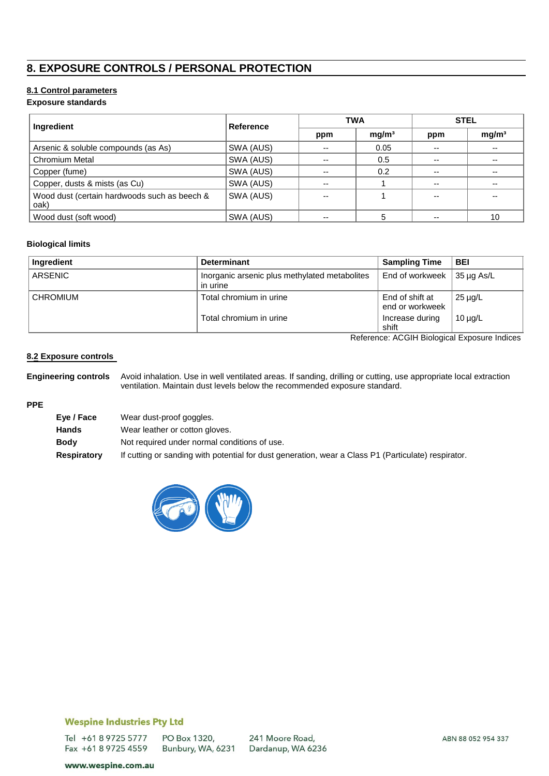# **8. EXPOSURE CONTROLS / PERSONAL PROTECTION**

### **8.1 Control parameters**

#### **Exposure standards**

| Ingredient                                           | Reference | <b>TWA</b>               |                   | <b>STEL</b> |                   |
|------------------------------------------------------|-----------|--------------------------|-------------------|-------------|-------------------|
|                                                      |           | ppm                      | mg/m <sup>3</sup> | ppm         | mg/m <sup>3</sup> |
| Arsenic & soluble compounds (as As)                  | SWA (AUS) | $\overline{\phantom{a}}$ | 0.05              | $-$         | $- -$             |
| <b>Chromium Metal</b>                                | SWA (AUS) | $- -$                    | 0.5               | $- -$       | $- -$             |
| Copper (fume)                                        | SWA (AUS) | $- -$                    | 0.2               | $- -$       | --                |
| Copper, dusts & mists (as Cu)                        | SWA (AUS) | $-$                      |                   | $- -$       | --                |
| Wood dust (certain hardwoods such as beech &<br>oak) | SWA (AUS) | $-$                      |                   | $-$         | $- -$             |
| Wood dust (soft wood)                                | SWA (AUS) | --                       |                   | $- -$       | 10                |

#### **Biological limits**

| Ingredient      | <b>Determinant</b>                                        | <b>Sampling Time</b>                   | <b>BEI</b>   |
|-----------------|-----------------------------------------------------------|----------------------------------------|--------------|
| ARSENIC         | Inorganic arsenic plus methylated metabolites<br>in urine | End of workweek $\frac{1}{35}$ µg As/L |              |
| <b>CHROMIUM</b> | Total chromium in urine                                   | End of shift at<br>end or workweek     | $25 \mu g/L$ |
|                 | Total chromium in urine                                   | Increase during<br>shift               | $10 \mu g/L$ |

Reference: ACGIH Biological Exposure Indices

#### **8.2 Exposure controls**

**Engineering controls** Avoid inhalation. Use in well ventilated areas. If sanding, drilling or cutting, use appropriate local extraction ventilation. Maintain dust levels below the recommended exposure standard.

## **PPE**

| If cutting or sanding with potential for dust generation, wear a Class P1 (Particulate) respirator. |
|-----------------------------------------------------------------------------------------------------|
|                                                                                                     |



# **Wespine Industries Pty Ltd**

Tel +61 8 9725 5777 PO Box 1320, Fax +61 8 9725 4559 Bunbury, WA, 6231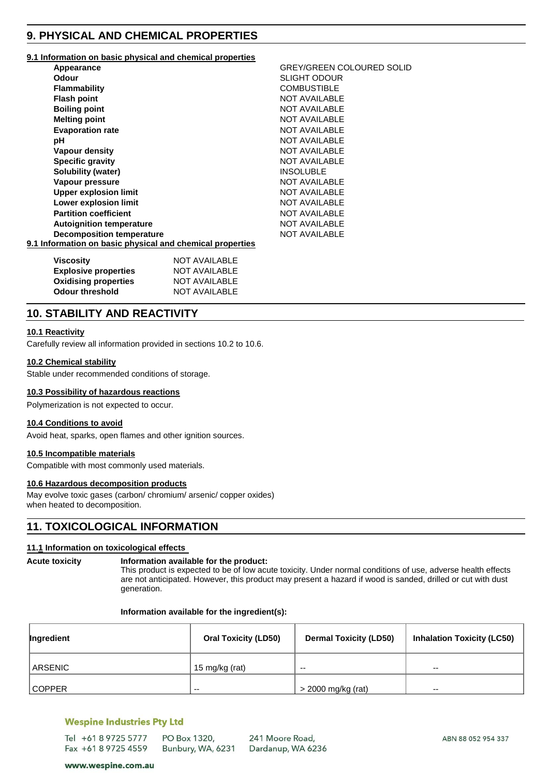# **9. PHYSICAL AND CHEMICAL PROPERTIES**

#### **9.1 Information on basic physical and chemical properties**

| Appearance                                                | <b>GREY/GREEN COLOURED SOLID</b> |
|-----------------------------------------------------------|----------------------------------|
| <b>Odour</b>                                              | <b>SLIGHT ODOUR</b>              |
| <b>Flammability</b>                                       | <b>COMBUSTIBLE</b>               |
| <b>Flash point</b>                                        | <b>NOT AVAILABLE</b>             |
| <b>Boiling point</b>                                      | <b>NOT AVAILABLE</b>             |
| <b>Melting point</b>                                      | <b>NOT AVAILABLE</b>             |
| <b>Evaporation rate</b>                                   | <b>NOT AVAILABLE</b>             |
| рH                                                        | <b>NOT AVAILABLE</b>             |
| <b>Vapour density</b>                                     | <b>NOT AVAILABLE</b>             |
| <b>Specific gravity</b>                                   | <b>NOT AVAILABLE</b>             |
| <b>Solubility (water)</b>                                 | <b>INSOLUBLE</b>                 |
| Vapour pressure                                           | <b>NOT AVAILABLE</b>             |
| <b>Upper explosion limit</b>                              | <b>NOT AVAILABLE</b>             |
| Lower explosion limit                                     | <b>NOT AVAILABLE</b>             |
| <b>Partition coefficient</b>                              | NOT AVAILABLE                    |
| <b>Autoignition temperature</b>                           | <b>NOT AVAILABLE</b>             |
| <b>Decomposition temperature</b>                          | <b>NOT AVAILABLE</b>             |
| 9.1 Information on basic physical and chemical properties |                                  |

| Viscosity                   | NOT AVAILABLE |  |
|-----------------------------|---------------|--|
| <b>Explosive properties</b> | NOT AVAILABLE |  |
| <b>Oxidising properties</b> | NOT AVAILABLE |  |
| <b>Odour threshold</b>      | NOT AVAILABLE |  |

# **10. STABILITY AND REACTIVITY**

#### **10.1 Reactivity**

Carefully review all information provided in sections 10.2 to 10.6.

#### **10.2 Chemical stability**

Stable under recommended conditions of storage.

#### **10.3 Possibility of hazardous reactions**

Polymerization is not expected to occur.

#### **10.4 Conditions to avoid**

Avoid heat, sparks, open flames and other ignition sources.

#### **10.5 Incompatible materials**

Compatible with most commonly used materials.

#### **10.6 Hazardous decomposition products**

May evolve toxic gases (carbon/ chromium/ arsenic/ copper oxides) when heated to decomposition.

### **11. TOXICOLOGICAL INFORMATION**

#### **11.1 Information on toxicological effects**

#### **Acute toxicity Information available for the product:**

This product is expected to be of low acute toxicity. Under normal conditions of use, adverse health effects are not anticipated. However, this product may present a hazard if wood is sanded, drilled or cut with dust generation.

#### **Information available for the ingredient(s):**

| Ingredient    | <b>Oral Toxicity (LD50)</b> | <b>Dermal Toxicity (LD50)</b> | <b>Inhalation Toxicity (LC50)</b> |
|---------------|-----------------------------|-------------------------------|-----------------------------------|
| ARSENIC       | 15 mg/kg (rat)              | $- -$                         | $- -$                             |
| <b>COPPER</b> | $- -$                       | > 2000 mg/kg (rat)            | $\sim$ $\sim$                     |

#### **Wespine Industries Pty Ltd**

| Tel +61 8 9725 5777 | PO Box 1320,      | 241 Moore Road,   |
|---------------------|-------------------|-------------------|
| Fax +61 8 9725 4559 | Bunbury, WA, 6231 | Dardanup, WA 6236 |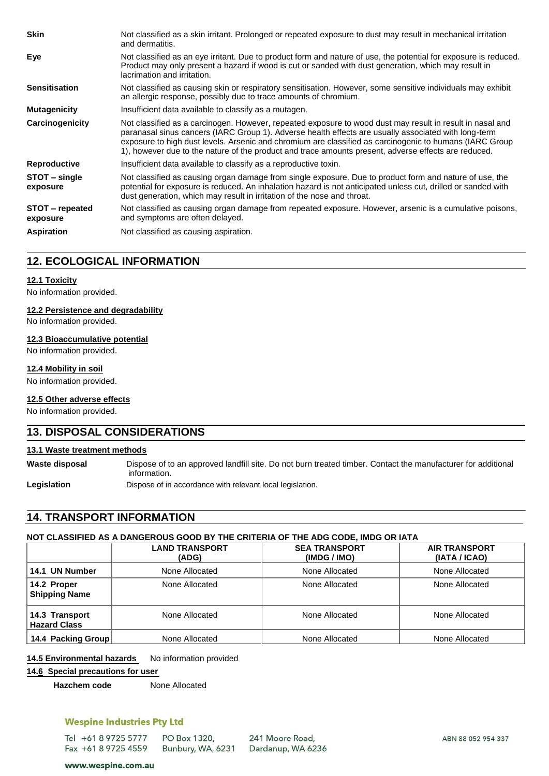| <b>Skin</b>                 | Not classified as a skin irritant. Prolonged or repeated exposure to dust may result in mechanical irritation<br>and dermatitis.                                                                                                                                                                                                                                                                                                     |
|-----------------------------|--------------------------------------------------------------------------------------------------------------------------------------------------------------------------------------------------------------------------------------------------------------------------------------------------------------------------------------------------------------------------------------------------------------------------------------|
| Eye                         | Not classified as an eye irritant. Due to product form and nature of use, the potential for exposure is reduced.<br>Product may only present a hazard if wood is cut or sanded with dust generation, which may result in<br>lacrimation and irritation.                                                                                                                                                                              |
| <b>Sensitisation</b>        | Not classified as causing skin or respiratory sensitisation. However, some sensitive individuals may exhibit<br>an allergic response, possibly due to trace amounts of chromium.                                                                                                                                                                                                                                                     |
| <b>Mutagenicity</b>         | Insufficient data available to classify as a mutagen.                                                                                                                                                                                                                                                                                                                                                                                |
| Carcinogenicity             | Not classified as a carcinogen. However, repeated exposure to wood dust may result in result in nasal and<br>paranasal sinus cancers (IARC Group 1). Adverse health effects are usually associated with long-term<br>exposure to high dust levels. Arsenic and chromium are classified as carcinogenic to humans (IARC Group<br>1), however due to the nature of the product and trace amounts present, adverse effects are reduced. |
| Reproductive                | Insufficient data available to classify as a reproductive toxin.                                                                                                                                                                                                                                                                                                                                                                     |
| STOT – single<br>exposure   | Not classified as causing organ damage from single exposure. Due to product form and nature of use, the<br>potential for exposure is reduced. An inhalation hazard is not anticipated unless cut, drilled or sanded with<br>dust generation, which may result in irritation of the nose and throat.                                                                                                                                  |
| STOT – repeated<br>exposure | Not classified as causing organ damage from repeated exposure. However, arsenic is a cumulative poisons,<br>and symptoms are often delayed.                                                                                                                                                                                                                                                                                          |
| <b>Aspiration</b>           | Not classified as causing aspiration.                                                                                                                                                                                                                                                                                                                                                                                                |

# **12. ECOLOGICAL INFORMATION**

#### **12.1 Toxicity**

No information provided.

#### **12.2 Persistence and degradability**

No information provided.

#### **12.3 Bioaccumulative potential**

No information provided.

#### **12.4 Mobility in soil**

No information provided.

#### **12.5 Other adverse effects**

No information provided.

### **13. DISPOSAL CONSIDERATIONS**

#### **13.1 Waste treatment methods**

**Waste disposal** Dispose of to an approved landfill site. Do not burn treated timber. Contact the manufacturer for additional information.

Legislation **Dispose of in accordance with relevant local legislation.** 

# **14. TRANSPORT INFORMATION**

## **NOT CLASSIFIED AS A DANGEROUS GOOD BY THE CRITERIA OF THE ADG CODE, IMDG OR IATA**

|                                       | <b>LAND TRANSPORT</b><br>(ADG) | <b>SEA TRANSPORT</b><br>(IMDG / IMO) | <b>AIR TRANSPORT</b><br>(IATA / ICAO) |
|---------------------------------------|--------------------------------|--------------------------------------|---------------------------------------|
| 14.1 UN Number                        | None Allocated                 | None Allocated                       | None Allocated                        |
| 14.2 Proper<br><b>Shipping Name</b>   | None Allocated                 | None Allocated                       | None Allocated                        |
| 14.3 Transport<br><b>Hazard Class</b> | None Allocated                 | None Allocated                       | None Allocated                        |
| 14.4 Packing Group                    | None Allocated                 | None Allocated                       | None Allocated                        |

14.5 **Environmental hazards** No information provided

### **14.6 Special precautions for user**

**Hazchem code** None Allocated

# **Wespine Industries Pty Ltd**

Tel +61 8 9725 5777 PO Box 1320, Fax +61 8 9725 4559 Bunbury, WA, 6231

241 Moore Road, Dardanup, WA 6236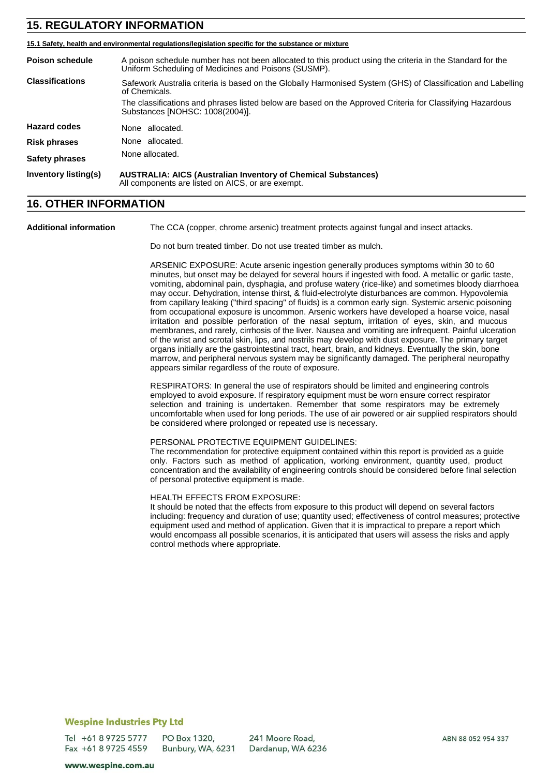# **15. REGULATORY INFORMATION**

|                        | 15.1 Safety, health and environmental regulations/legislation specific for the substance or mixture                                                                |  |
|------------------------|--------------------------------------------------------------------------------------------------------------------------------------------------------------------|--|
| <b>Poison schedule</b> | A poison schedule number has not been allocated to this product using the criteria in the Standard for the<br>Uniform Scheduling of Medicines and Poisons (SUSMP). |  |
| <b>Classifications</b> | Safework Australia criteria is based on the Globally Harmonised System (GHS) of Classification and Labelling<br>of Chemicals.                                      |  |
|                        | The classifications and phrases listed below are based on the Approved Criteria for Classifying Hazardous<br>Substances [NOHSC: 1008(2004)].                       |  |
| <b>Hazard codes</b>    | None allocated.                                                                                                                                                    |  |
| <b>Risk phrases</b>    | None allocated.                                                                                                                                                    |  |
| <b>Safety phrases</b>  | None allocated.                                                                                                                                                    |  |
| Inventory listing(s)   | <b>AUSTRALIA: AICS (Australian Inventory of Chemical Substances)</b><br>All components are listed on AICS, or are exempt.                                          |  |

# **16. OTHER INFORMATION**

**Additional information** The CCA (copper, chrome arsenic) treatment protects against fungal and insect attacks.

Do not burn treated timber. Do not use treated timber as mulch.

ARSENIC EXPOSURE: Acute arsenic ingestion generally produces symptoms within 30 to 60 minutes, but onset may be delayed for several hours if ingested with food. A metallic or garlic taste, vomiting, abdominal pain, dysphagia, and profuse watery (rice-like) and sometimes bloody diarrhoea may occur. Dehydration, intense thirst, & fluid-electrolyte disturbances are common. Hypovolemia from capillary leaking ("third spacing" of fluids) is a common early sign. Systemic arsenic poisoning from occupational exposure is uncommon. Arsenic workers have developed a hoarse voice, nasal irritation and possible perforation of the nasal septum, irritation of eyes, skin, and mucous membranes, and rarely, cirrhosis of the liver. Nausea and vomiting are infrequent. Painful ulceration of the wrist and scrotal skin, lips, and nostrils may develop with dust exposure. The primary target organs initially are the gastrointestinal tract, heart, brain, and kidneys. Eventually the skin, bone marrow, and peripheral nervous system may be significantly damaged. The peripheral neuropathy appears similar regardless of the route of exposure.

RESPIRATORS: In general the use of respirators should be limited and engineering controls employed to avoid exposure. If respiratory equipment must be worn ensure correct respirator selection and training is undertaken. Remember that some respirators may be extremely uncomfortable when used for long periods. The use of air powered or air supplied respirators should be considered where prolonged or repeated use is necessary.

#### PERSONAL PROTECTIVE EQUIPMENT GUIDELINES:

The recommendation for protective equipment contained within this report is provided as a guide only. Factors such as method of application, working environment, quantity used, product concentration and the availability of engineering controls should be considered before final selection of personal protective equipment is made.

#### HEALTH EFFECTS FROM EXPOSURE:

It should be noted that the effects from exposure to this product will depend on several factors including: frequency and duration of use; quantity used; effectiveness of control measures; protective equipment used and method of application. Given that it is impractical to prepare a report which would encompass all possible scenarios, it is anticipated that users will assess the risks and apply control methods where appropriate.

#### **Wespine Industries Pty Ltd**

Tel +61 8 9725 5777 PO Box 1320, Fax +61 8 9725 4559 Bunbury, WA, 6231